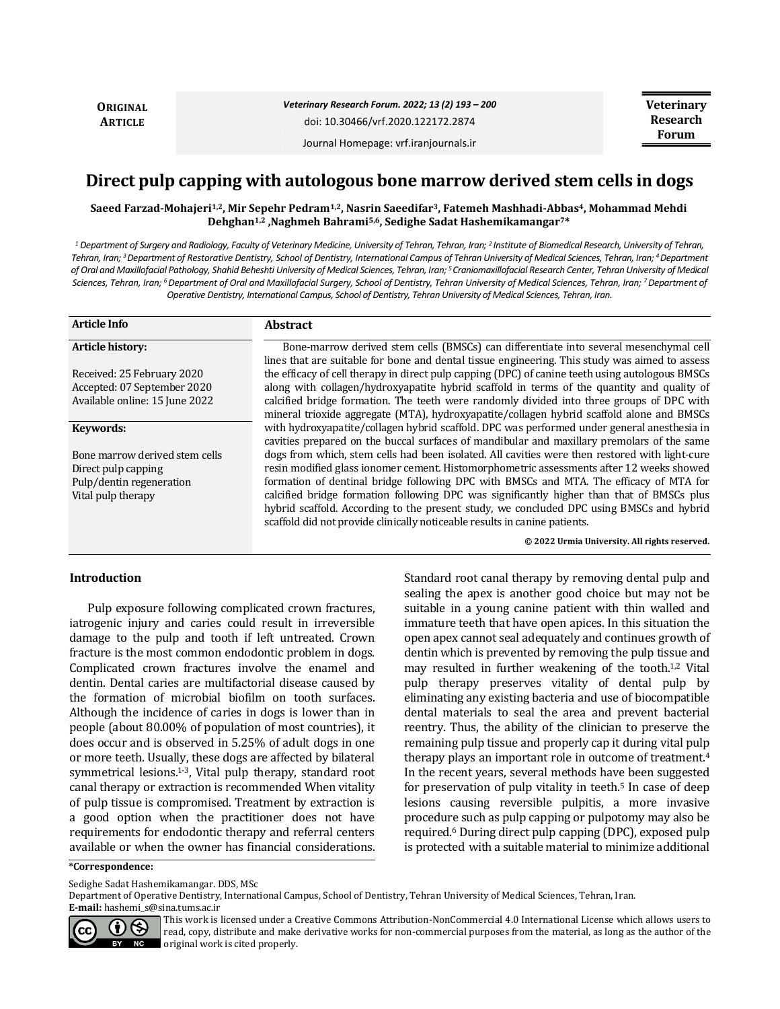**ORIGINAL ARTICLE**

*Veterinary Research Forum. 2022; 13 (2) 193 – 200* doi: 10.30466/vrf.2020.122172.2874

Journal Homepage: vrf.iranjournals.ir

# **Direct pulp capping with autologous bone marrow derived stem cells in dogs**

**Saeed Farzad-Mohajeri1,2, Mir Sepehr Pedram1,2, Nasrin Saeedifar3, Fatemeh Mashhadi-Abbas4, Mohammad Mehdi Dehghan1,2 ,Naghmeh Bahrami5,6, Sedighe Sadat Hashemikamangar7\***

*<sup>1</sup> Department of Surgery and Radiology, Faculty of Veterinary Medicine, University of Tehran, Tehran, Iran; <sup>2</sup> Institute of Biomedical Research, University of Tehran, Tehran, Iran; <sup>3</sup>Department of Restorative Dentistry, School of Dentistry, International Campus of Tehran University of Medical Sciences, Tehran, Iran; <sup>4</sup>Department of Oral and Maxillofacial Pathology, Shahid Beheshti University of Medical Sciences, Tehran, Iran; <sup>5</sup>Craniomaxillofacial Research Center, Tehran University of Medical Sciences, Tehran, Iran; <sup>6</sup>Department of Oral and Maxillofacial Surgery, School of Dentistry, Tehran University of Medical Sciences, Tehran, Iran; <sup>7</sup>Department of Operative Dentistry, International Campus, School of Dentistry, Tehran University of Medical Sciences, Tehran, Iran.*

| <b>Article Info</b>            | <b>Abstract</b>                                                                                                                                                                           |
|--------------------------------|-------------------------------------------------------------------------------------------------------------------------------------------------------------------------------------------|
| <b>Article history:</b>        | Bone-marrow derived stem cells (BMSCs) can differentiate into several mesenchymal cell<br>lines that are suitable for bone and dental tissue engineering. This study was aimed to assess  |
| Received: 25 February 2020     | the efficacy of cell therapy in direct pulp capping (DPC) of canine teeth using autologous BMSCs                                                                                          |
| Accepted: 07 September 2020    | along with collagen/hydroxyapatite hybrid scaffold in terms of the quantity and quality of                                                                                                |
| Available online: 15 June 2022 | calcified bridge formation. The teeth were randomly divided into three groups of DPC with                                                                                                 |
|                                | mineral trioxide aggregate (MTA), hydroxyapatite/collagen hybrid scaffold alone and BMSCs                                                                                                 |
| Keywords:                      | with hydroxyapatite/collagen hybrid scaffold. DPC was performed under general anesthesia in<br>cavities prepared on the buccal surfaces of mandibular and maxillary premolars of the same |
| Bone marrow derived stem cells | dogs from which, stem cells had been isolated. All cavities were then restored with light-cure                                                                                            |
| Direct pulp capping            | resin modified glass ionomer cement. Histomorphometric assessments after 12 weeks showed                                                                                                  |
| Pulp/dentin regeneration       | formation of dentinal bridge following DPC with BMSCs and MTA. The efficacy of MTA for                                                                                                    |
| Vital pulp therapy             | calcified bridge formation following DPC was significantly higher than that of BMSCs plus                                                                                                 |
|                                | hybrid scaffold. According to the present study, we concluded DPC using BMSCs and hybrid<br>scaffold did not provide clinically noticeable results in canine patients.                    |
|                                | © 2022 Urmia University. All rights reserved.                                                                                                                                             |

#### **Introduction**

Pulp exposure following complicated crown fractures, iatrogenic injury and caries could result in irreversible damage to the pulp and tooth if left untreated. Crown fracture is the most common endodontic problem in dogs. Complicated crown fractures involve the enamel and dentin. Dental caries are multifactorial disease caused by the formation of microbial biofilm on tooth surfaces. Although the incidence of caries in dogs is lower than in people (about 80.00% of population of most countries), it does occur and is observed in 5.25% of adult dogs in one or more teeth. Usually, these dogs are affected by bilateral symmetrical lesions.<sup>1-3</sup>, Vital pulp therapy, standard root canal therapy or extraction is recommended When vitality of pulp tissue is compromised. Treatment by extraction is a good option when the practitioner does not have requirements for endodontic therapy and referral centers available or when the owner has financial considerations.

Standard root canal therapy by removing dental pulp and sealing the apex is another good choice but may not be suitable in a young canine patient with thin walled and immature teeth that have open apices. In this situation the open apex cannot seal adequately and continues growth of dentin which is prevented by removing the pulp tissue and may resulted in further weakening of the tooth.1,2 Vital pulp therapy preserves vitality of dental pulp by eliminating any existing bacteria and use of biocompatible dental materials to seal the area and prevent bacterial reentry. Thus, the ability of the clinician to preserve the remaining pulp tissue and properly cap it during vital pulp therapy plays an important role in outcome of treatment.<sup>4</sup> In the recent years, several methods have been suggested for preservation of pulp vitality in teeth.<sup>5</sup> In case of deep lesions causing reversible pulpitis, a more invasive procedure such as pulp capping or pulpotomy may also be required.<sup>6</sup> During direct pulp capping (DPC), exposed pulp is protected with a suitable material to minimize additional

#### **\*Correspondence:**

Sedighe Sadat Hashemikamangar. DDS, MSc

Department of Operative Dentistry, International Campus, School of Dentistry, Tehran University of Medical Sciences, Tehran, Iran. **E-mail:** hashemi\_s@sina.tums.ac.ir



This work is licensed under a [Creative Commons Attribution-NonCommercial 4.0 International License](http://creativecommons.org/licenses/by-nc/4.0/) which allows users to read, copy, distribute and make derivative works for non-commercial purposes from the material, as long as the author of the original work is cited properly.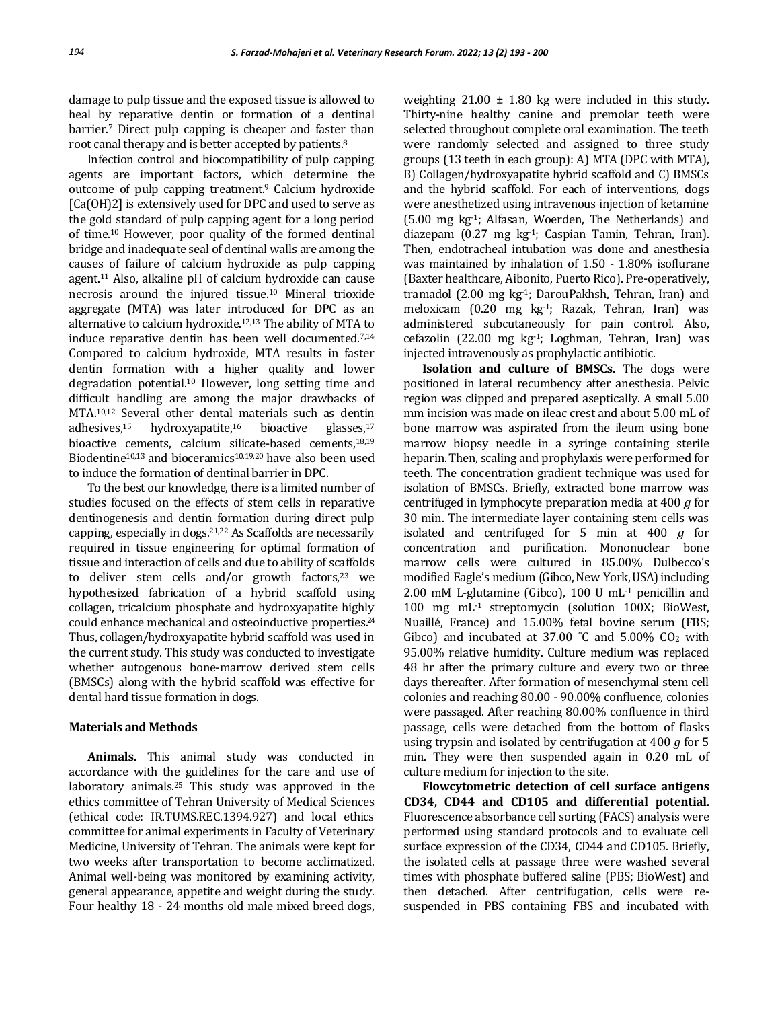damage to pulp tissue and the exposed tissue is allowed to heal by reparative dentin or formation of a dentinal barrier.<sup>7</sup> Direct pulp capping is cheaper and faster than root canal therapy and is better accepted by patients.<sup>8</sup>

Infection control and biocompatibility of pulp capping agents are important factors, which determine the outcome of pulp capping treatment.<sup>9</sup> Calcium hydroxide [Ca(OH)2] is extensively used for DPC and used to serve as the gold standard of pulp capping agent for a long period of time.<sup>10</sup> However, poor quality of the formed dentinal bridge and inadequate seal of dentinal walls are among the causes of failure of calcium hydroxide as pulp capping agent.<sup>11</sup> Also, alkaline pH of calcium hydroxide can cause necrosis around the injured tissue.<sup>10</sup> Mineral trioxide aggregate (MTA) was later introduced for DPC as an alternative to calcium hydroxide.12,13 The ability of MTA to induce reparative dentin has been well documented.7,14 Compared to calcium hydroxide, MTA results in faster dentin formation with a higher quality and lower degradation potential.<sup>10</sup> However, long setting time and difficult handling are among the major drawbacks of MTA.10,12 Several other dental materials such as dentin adhesives, $15$  hydroxyapatite, $16$  bioactive glasses, $17$ bioactive cements, calcium silicate-based cements,18,19 Biodentine<sup>10,13</sup> and bioceramics<sup>10,19,20</sup> have also been used to induce the formation of dentinal barrier in DPC.

To the best our knowledge, there is a limited number of studies focused on the effects of stem cells in reparative dentinogenesis and dentin formation during direct pulp capping, especially in dogs.21,22 As Scaffolds are necessarily required in tissue engineering for optimal formation of tissue and interaction of cells and due to ability of scaffolds to deliver stem cells and/or growth factors, $23$  we hypothesized fabrication of a hybrid scaffold using collagen, tricalcium phosphate and hydroxyapatite highly could enhance mechanical and osteoinductive properties. 24 Thus, collagen/hydroxyapatite hybrid scaffold was used in the current study. This study was conducted to investigate whether autogenous bone-marrow derived stem cells (BMSCs) along with the hybrid scaffold was effective for dental hard tissue formation in dogs.

#### **Materials and Methods**

**Animals.** This animal study was conducted in accordance with the guidelines for the care and use of laboratory animals.<sup>25</sup> This study was approved in the ethics committee of Tehran University of Medical Sciences (ethical code: IR.TUMS.REC.1394.927) and local ethics committee for animal experiments in Faculty of Veterinary Medicine, University of Tehran. The animals were kept for two weeks after transportation to become acclimatized. Animal well-being was monitored by examining activity, general appearance, appetite and weight during the study. Four healthy 18 - 24 months old male mixed breed dogs,

weighting  $21.00 \pm 1.80$  kg were included in this study. Thirty-nine healthy canine and premolar teeth were selected throughout complete oral examination. The teeth were randomly selected and assigned to three study groups (13 teeth in each group): A) MTA (DPC with MTA), B) Collagen/hydroxyapatite hybrid scaffold and C) BMSCs and the hybrid scaffold. For each of interventions, dogs were anesthetized using intravenous injection of ketamine (5.00 mg kg-1; Alfasan, Woerden, The Netherlands) and diazepam (0.27 mg kg-1; Caspian Tamin, Tehran, Iran). Then, endotracheal intubation was done and anesthesia was maintained by inhalation of 1.50 - 1.80% isoflurane (Baxter healthcare, Aibonito, Puerto Rico). Pre-operatively, tramadol (2.00 mg kg-1; DarouPakhsh, Tehran, Iran) and meloxicam (0.20 mg kg-1; Razak, Tehran, Iran) was administered subcutaneously for pain control. Also, cefazolin (22.00 mg  $kg<sup>1</sup>$ ; Loghman, Tehran, Iran) was injected intravenously as prophylactic antibiotic.

**Isolation and culture of BMSCs.** The dogs were positioned in lateral recumbency after anesthesia. Pelvic region was clipped and prepared aseptically. A small 5.00 mm incision was made on ileac crest and about 5.00 mL of bone marrow was aspirated from the ileum using bone marrow biopsy needle in a syringe containing sterile heparin.Then, scaling and prophylaxis were performed for teeth. The concentration gradient technique was used for isolation of BMSCs. Briefly, extracted bone marrow was centrifuged in lymphocyte preparation media at 400 *g* for 30 min. The intermediate layer containing stem cells was isolated and centrifuged for 5 min at 400 *g* for concentration and purification. Mononuclear bone marrow cells were cultured in 85.00% Dulbecco's modified Eagle's medium (Gibco, New York, USA) including 2.00 mM L-glutamine (Gibco), 100 U mL-1 penicillin and 100 mg mL-1 streptomycin (solution 100X; BioWest, Nuaillé, France) and 15.00% fetal bovine serum (FBS; Gibco) and incubated at  $37.00$  °C and  $5.00\%$  CO<sub>2</sub> with 95.00% relative humidity. Culture medium was replaced 48 hr after the primary culture and every two or three days thereafter. After formation of mesenchymal stem cell colonies and reaching 80.00 - 90.00% confluence, colonies were passaged. After reaching 80.00% confluence in third passage, cells were detached from the bottom of flasks using trypsin and isolated by centrifugation at 400 *g* for 5 min. They were then suspended again in 0.20 mL of culture medium for injection to the site.

**Flowcytometric detection of cell surface antigens CD34, CD44 and CD105 and differential potential.**  Fluorescence absorbance cell sorting (FACS) analysis were performed using standard protocols and to evaluate cell surface expression of the CD34, CD44 and CD105. Briefly, the isolated cells at passage three were washed several times with phosphate buffered saline (PBS; BioWest) and then detached. After centrifugation, cells were resuspended in PBS containing FBS and incubated with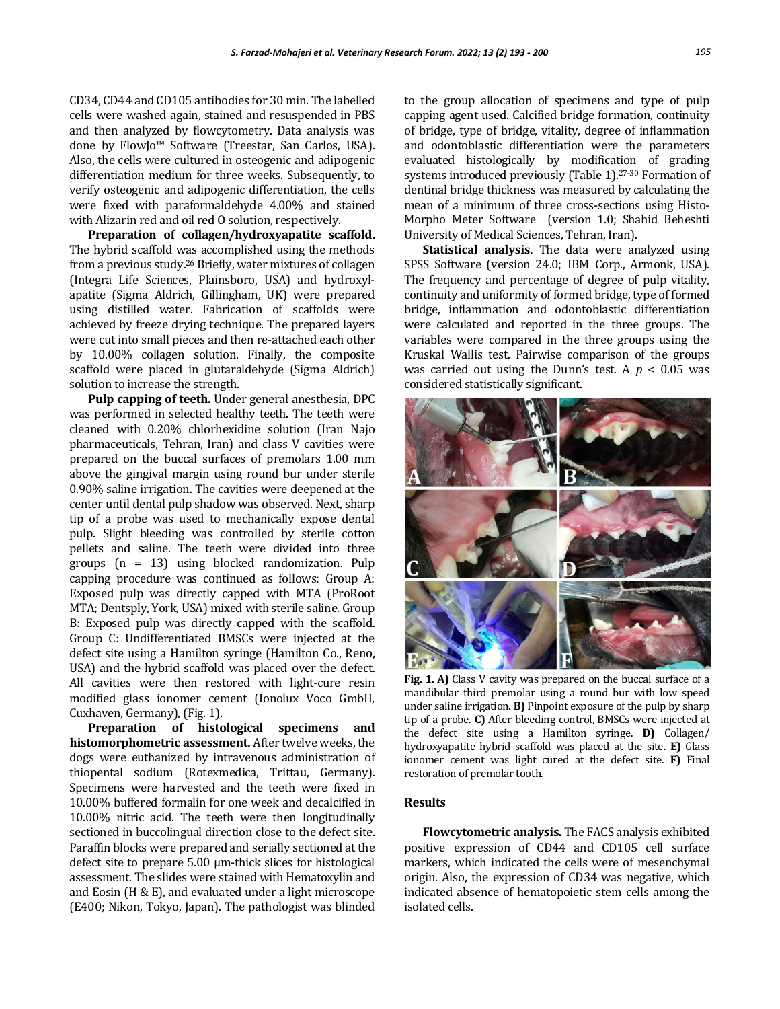CD34, CD44 and CD105 antibodies for 30 min. The labelled cells were washed again, stained and resuspended in PBS and then analyzed by flowcytometry. Data analysis was done by FlowJo™ Software (Treestar, San Carlos, USA). Also, the cells were cultured in osteogenic and adipogenic differentiation medium for three weeks. Subsequently, to verify osteogenic and adipogenic differentiation, the cells were fixed with paraformaldehyde 4.00% and stained with Alizarin red and oil red O solution, respectively.

**Preparation of collagen/hydroxyapatite scaffold.**  The hybrid scaffold was accomplished using the methods from a previous study.<sup>26</sup> Briefly, water mixtures of collagen (Integra Life Sciences, Plainsboro, USA) and hydroxylapatite (Sigma Aldrich, Gillingham, UK) were prepared using distilled water. Fabrication of scaffolds were achieved by freeze drying technique. The prepared layers were cut into small pieces and then re-attached each other by 10.00% collagen solution. Finally, the composite scaffold were placed in glutaraldehyde (Sigma Aldrich) solution to increase the strength.

**Pulp capping of teeth.** Under general anesthesia, DPC was performed in selected healthy teeth. The teeth were cleaned with 0.20% chlorhexidine solution (Iran Najo pharmaceuticals, Tehran, Iran) and class V cavities were prepared on the buccal surfaces of premolars 1.00 mm above the gingival margin using round bur under sterile 0.90% saline irrigation. The cavities were deepened at the center until dental pulp shadow was observed. Next, sharp tip of a probe was used to mechanically expose dental pulp. Slight bleeding was controlled by sterile cotton pellets and saline. The teeth were divided into three groups (n = 13) using blocked randomization. Pulp capping procedure was continued as follows: Group A: Exposed pulp was directly capped with MTA (ProRoot MTA; Dentsply, York, USA) mixed with sterile saline. Group B: Exposed pulp was directly capped with the scaffold. Group C: Undifferentiated BMSCs were injected at the defect site using a Hamilton syringe (Hamilton Co., Reno, USA) and the hybrid scaffold was placed over the defect. All cavities were then restored with light-cure resin modified glass ionomer cement (Ionolux Voco GmbH, Cuxhaven, Germany), (Fig. 1).

**Preparation of histological specimens and histomorphometric assessment.** After twelve weeks, the dogs were euthanized by intravenous administration of thiopental sodium (Rotexmedica, Trittau, Germany). Specimens were harvested and the teeth were fixed in 10.00% buffered formalin for one week and decalcified in 10.00% nitric acid. The teeth were then longitudinally sectioned in buccolingual direction close to the defect site. Paraffin blocks were prepared and serially sectioned at the defect site to prepare 5.00 µm-thick slices for histological assessment. The slides were stained with Hematoxylin and and Eosin (H & E), and evaluated under a light microscope (E400; Nikon, Tokyo, Japan). The pathologist was blinded

to the group allocation of specimens and type of pulp capping agent used. Calcified bridge formation, continuity of bridge, type of bridge, vitality, degree of inflammation and odontoblastic differentiation were the parameters evaluated histologically by modification of grading systems introduced previously (Table 1).<sup>27-30</sup> Formation of dentinal bridge thickness was measured by calculating the mean of a minimum of three cross-sections using Histo-Morpho Meter Software (version 1.0; Shahid Beheshti University of Medical Sciences, Tehran, Iran).

**Statistical analysis.** The data were analyzed using SPSS Software (version 24.0; IBM Corp., Armonk, USA). The frequency and percentage of degree of pulp vitality, continuity and uniformity of formed bridge, type of formed bridge, inflammation and odontoblastic differentiation were calculated and reported in the three groups. The variables were compared in the three groups using the Kruskal Wallis test. Pairwise comparison of the groups was carried out using the Dunn's test. A *p* < 0.05 was considered statistically significant.



**Fig. 1. A)** Class V cavity was prepared on the buccal surface of a mandibular third premolar using a round bur with low speed under saline irrigation. **B)** Pinpoint exposure of the pulp by sharp tip of a probe. **C)** After bleeding control, BMSCs were injected at the defect site using a Hamilton syringe. **D)** Collagen/ hydroxyapatite hybrid scaffold was placed at the site. **E)** Glass ionomer cement was light cured at the defect site. **F)** Final restoration of premolar tooth.

# **Results**

**Flowcytometric analysis.** The FACS analysis exhibited positive expression of CD44 and CD105 cell surface markers, which indicated the cells were of mesenchymal origin. Also, the expression of CD34 was negative, which indicated absence of hematopoietic stem cells among the isolated cells.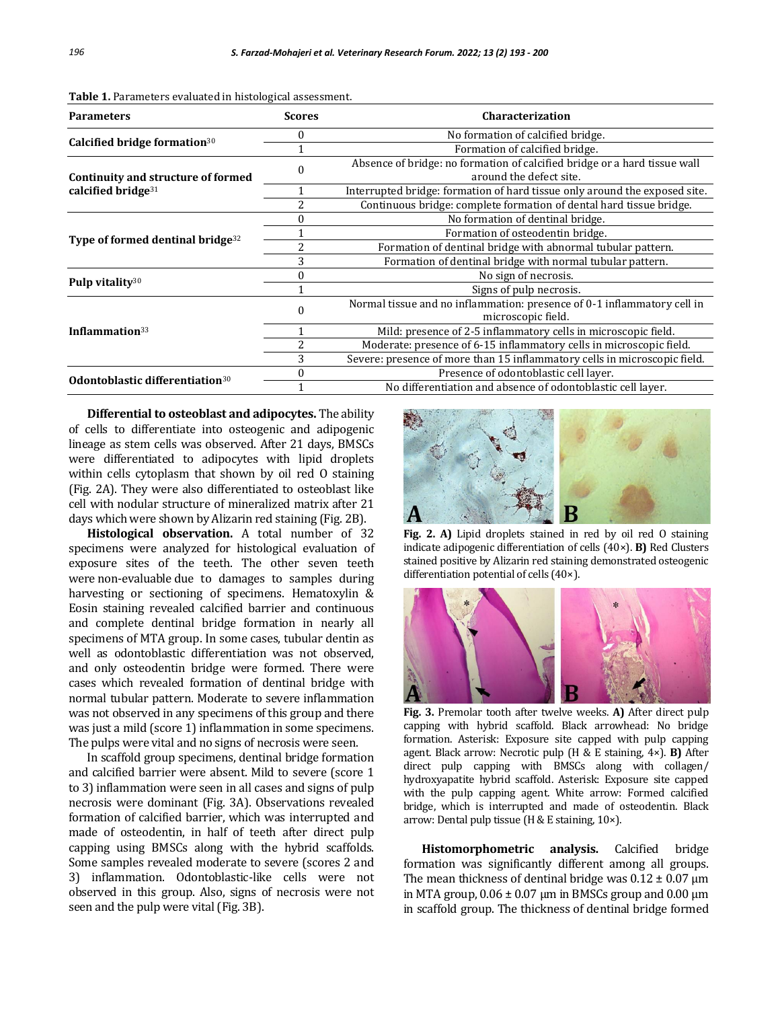| <b>Parameters</b>                                           | <b>Scores</b> | <b>Characterization</b>                                                                              |
|-------------------------------------------------------------|---------------|------------------------------------------------------------------------------------------------------|
| Calcified bridge formation <sup>30</sup>                    |               | No formation of calcified bridge.                                                                    |
|                                                             |               | Formation of calcified bridge.                                                                       |
| Continuity and structure of formed<br>calcified bridge $31$ |               | Absence of bridge: no formation of calcified bridge or a hard tissue wall<br>around the defect site. |
|                                                             |               | Interrupted bridge: formation of hard tissue only around the exposed site.                           |
|                                                             |               | Continuous bridge: complete formation of dental hard tissue bridge.                                  |
| Type of formed dentinal bridge <sup>32</sup>                |               | No formation of dentinal bridge.                                                                     |
|                                                             |               | Formation of osteodentin bridge.                                                                     |
|                                                             |               | Formation of dentinal bridge with abnormal tubular pattern.                                          |
|                                                             | 3             | Formation of dentinal bridge with normal tubular pattern.                                            |
| Pulp vitality <sup>30</sup>                                 |               | No sign of necrosis.                                                                                 |
|                                                             |               | Signs of pulp necrosis.                                                                              |
| Inflammation $33$                                           |               | Normal tissue and no inflammation: presence of 0-1 inflammatory cell in<br>microscopic field.        |
|                                                             |               | Mild: presence of 2-5 inflammatory cells in microscopic field.                                       |
|                                                             |               | Moderate: presence of 6-15 inflammatory cells in microscopic field.                                  |
|                                                             | 3             | Severe: presence of more than 15 inflammatory cells in microscopic field.                            |
| Odontoblastic differentiation <sup>30</sup>                 |               | Presence of odontoblastic cell layer.                                                                |
|                                                             |               | No differentiation and absence of odontoblastic cell layer.                                          |

**Table 1.** Parameters evaluated in histological assessment.

**Differential to osteoblast and adipocytes.** The ability of cells to differentiate into osteogenic and adipogenic lineage as stem cells was observed. After 21 days, BMSCs were differentiated to adipocytes with lipid droplets within cells cytoplasm that shown by oil red O staining (Fig. 2A). They were also differentiated to osteoblast like cell with nodular structure of mineralized matrix after 21 days which were shown by Alizarin red staining (Fig. 2B).

**Histological observation.** A total number of 32 specimens were analyzed for histological evaluation of exposure sites of the teeth. The other seven teeth were non-evaluable due to damages to samples during harvesting or sectioning of specimens. Hematoxylin & Eosin staining revealed calcified barrier and continuous and complete dentinal bridge formation in nearly all specimens of MTA group. In some cases, tubular dentin as well as odontoblastic differentiation was not observed, and only osteodentin bridge were formed. There were cases which revealed formation of dentinal bridge with normal tubular pattern. Moderate to severe inflammation was not observed in any specimens of this group and there was just a mild (score 1) inflammation in some specimens. The pulps were vital and no signs of necrosis were seen.

In scaffold group specimens, dentinal bridge formation and calcified barrier were absent. Mild to severe (score 1 to 3) inflammation were seen in all cases and signs of pulp necrosis were dominant (Fig. 3A). Observations revealed formation of calcified barrier, which was interrupted and made of osteodentin, in half of teeth after direct pulp capping using BMSCs along with the hybrid scaffolds. Some samples revealed moderate to severe (scores 2 and 3) inflammation. Odontoblastic-like cells were not observed in this group. Also, signs of necrosis were not seen and the pulp were vital (Fig. 3B).



**Fig. 2. A)** Lipid droplets stained in red by oil red O staining indicate adipogenic differentiation of cells (40×). **B)** Red Clusters stained positive by Alizarin red staining demonstrated osteogenic differentiation potential of cells (40×).



**Fig. 3.** Premolar tooth after twelve weeks. **A)** After direct pulp capping with hybrid scaffold. Black arrowhead: No bridge formation. Asterisk: Exposure site capped with pulp capping agent. Black arrow: Necrotic pulp (H & E staining, 4×). **B)** After direct pulp capping with BMSCs along with collagen/ hydroxyapatite hybrid scaffold. Asterisk: Exposure site capped with the pulp capping agent. White arrow: Formed calcified bridge, which is interrupted and made of osteodentin. Black arrow: Dental pulp tissue (H & E staining, 10×).

**Histomorphometric analysis.** Calcified bridge formation was significantly different among all groups. The mean thickness of dentinal bridge was  $0.12 \pm 0.07$  µm in MTA group,  $0.06 \pm 0.07$  µm in BMSCs group and  $0.00$  µm in scaffold group. The thickness of dentinal bridge formed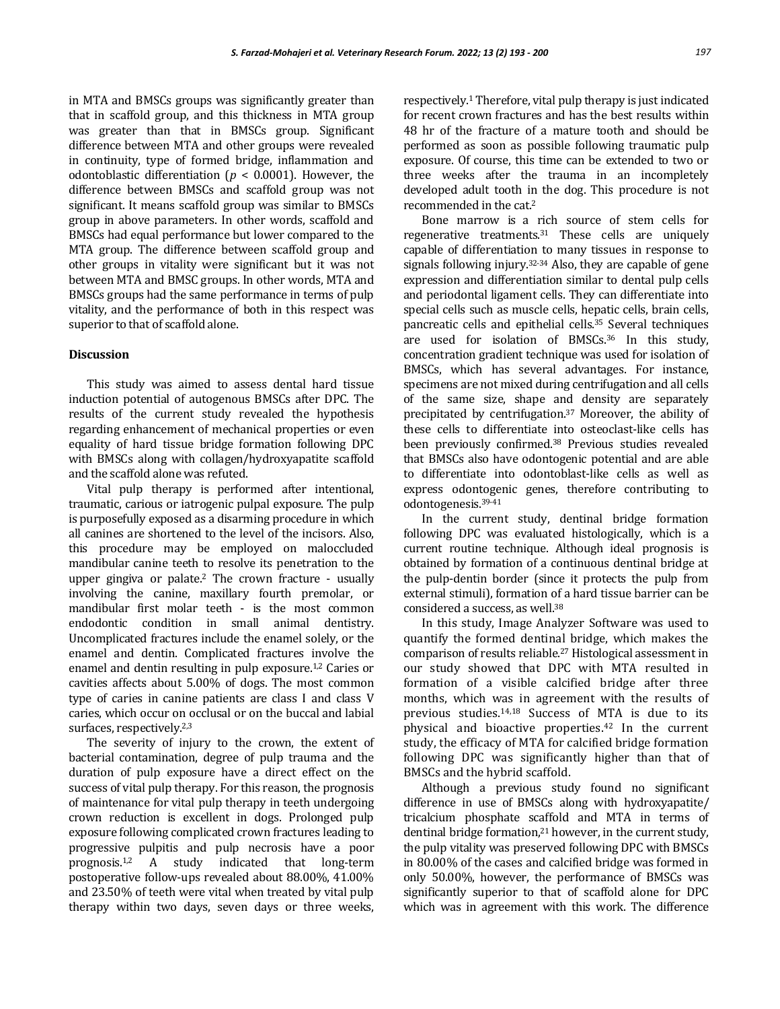in MTA and BMSCs groups was significantly greater than that in scaffold group, and this thickness in MTA group was greater than that in BMSCs group. Significant difference between MTA and other groups were revealed in continuity, type of formed bridge, inflammation and odontoblastic differentiation (*p* < 0.0001). However, the difference between BMSCs and scaffold group was not significant. It means scaffold group was similar to BMSCs group in above parameters. In other words, scaffold and BMSCs had equal performance but lower compared to the MTA group. The difference between scaffold group and other groups in vitality were significant but it was not between MTA and BMSC groups. In other words, MTA and BMSCs groups had the same performance in terms of pulp vitality, and the performance of both in this respect was superior to that of scaffold alone.

# **Discussion**

This study was aimed to assess dental hard tissue induction potential of autogenous BMSCs after DPC. The results of the current study revealed the hypothesis regarding enhancement of mechanical properties or even equality of hard tissue bridge formation following DPC with BMSCs along with collagen/hydroxyapatite scaffold and the scaffold alone was refuted.

Vital pulp therapy is performed after intentional, traumatic, carious or iatrogenic pulpal exposure. The pulp is purposefully exposed as a disarming procedure in which all canines are shortened to the level of the incisors. Also, this procedure may be employed on maloccluded mandibular canine teeth to resolve its penetration to the upper gingiva or palate.<sup>2</sup> The crown fracture - usually involving the canine, maxillary fourth premolar, or mandibular first molar teeth - is the most common endodontic condition in small animal dentistry. Uncomplicated fractures include the enamel solely, or the enamel and dentin. Complicated fractures involve the enamel and dentin resulting in pulp exposure.1,2 Caries or cavities affects about 5.00% of dogs. The most common type of caries in canine patients are class I and class V caries, which occur on occlusal or on the buccal and labial surfaces, respectively.<sup>2,3</sup>

The severity of injury to the crown, the extent of bacterial contamination, degree of pulp trauma and the duration of pulp exposure have a direct effect on the success of vital pulp therapy. For this reason, the prognosis of maintenance for vital pulp therapy in teeth undergoing crown reduction is excellent in dogs. Prolonged pulp exposure following complicated crown fractures leading to progressive pulpitis and pulp necrosis have a poor prognosis.1,2 A study indicated that long-term postoperative follow-ups revealed about 88.00%, 41.00% and 23.50% of teeth were vital when treated by vital pulp therapy within two days, seven days or three weeks,

respectively.<sup>1</sup> Therefore, vital pulp therapy is just indicated for recent crown fractures and has the best results within 48 hr of the fracture of a mature tooth and should be performed as soon as possible following traumatic pulp exposure. Of course, this time can be extended to two or three weeks after the trauma in an incompletely developed adult tooth in the dog. This procedure is not recommended in the cat.<sup>2</sup>

Bone marrow is a rich source of stem cells for regenerative treatments.<sup>31</sup> These cells are uniquely capable of differentiation to many tissues in response to signals following injury.<sup>32-34</sup> Also, they are capable of gene expression and differentiation similar to dental pulp cells and periodontal ligament cells. They can differentiate into special cells such as muscle cells, hepatic cells, brain cells, pancreatic cells and epithelial cells.<sup>35</sup> Several techniques are used for isolation of BMSCs.<sup>36</sup> In this study, concentration gradient technique was used for isolation of BMSCs, which has several advantages. For instance, specimens are not mixed during centrifugation and all cells of the same size, shape and density are separately precipitated by centrifugation.<sup>37</sup> Moreover, the ability of these cells to differentiate into osteoclast-like cells has been previously confirmed.<sup>38</sup> Previous studies revealed that BMSCs also have odontogenic potential and are able to differentiate into odontoblast-like cells as well as express odontogenic genes, therefore contributing to odontogenesis.39-41

In the current study, dentinal bridge formation following DPC was evaluated histologically, which is a current routine technique. Although ideal prognosis is obtained by formation of a continuous dentinal bridge at the pulp-dentin border (since it protects the pulp from external stimuli), formation of a hard tissue barrier can be considered a success, as well.<sup>38</sup>

In this study, Image Analyzer Software was used to quantify the formed dentinal bridge, which makes the comparison of results reliable.<sup>27</sup> Histological assessment in our study showed that DPC with MTA resulted in formation of a visible calcified bridge after three months, which was in agreement with the results of previous studies.14,18 Success of MTA is due to its physical and bioactive properties.<sup>42</sup> In the current study, the efficacy of MTA for calcified bridge formation following DPC was significantly higher than that of BMSCs and the hybrid scaffold.

Although a previous study found no significant difference in use of BMSCs along with hydroxyapatite/ tricalcium phosphate scaffold and MTA in terms of dentinal bridge formation,<sup>21</sup> however, in the current study, the pulp vitality was preserved following DPC with BMSCs in 80.00% of the cases and calcified bridge was formed in only 50.00%, however, the performance of BMSCs was significantly superior to that of scaffold alone for DPC which was in agreement with this work. The difference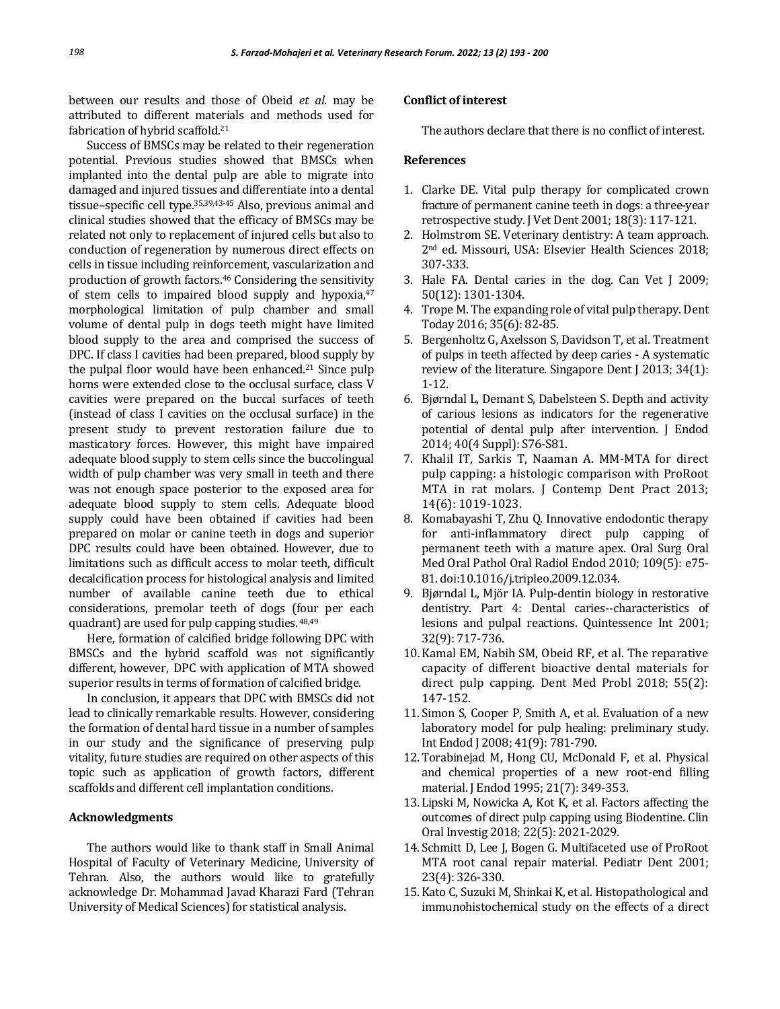between our results and those of Obeid *et al*. may be attributed to different materials and methods used for fabrication of hybrid scaffold.<sup>21</sup>

Success of BMSCs may be related to their regeneration potential. Previous studies showed that BMSCs when implanted into the dental pulp are able to migrate into damaged and injured tissues and differentiate into a dental tissue–specific cell type.35,39,43-45 Also, previous animal and clinical studies showed that the efficacy of BMSCs may be related not only to replacement of injured cells but also to conduction of regeneration by numerous direct effects on cells in tissue including reinforcement, vascularization and production of growth factors.<sup>46</sup> Considering the sensitivity of stem cells to impaired blood supply and hypoxia,<sup>47</sup> morphological limitation of pulp chamber and small volume of dental pulp in dogs teeth might have limited blood supply to the area and comprised the success of DPC. If class I cavities had been prepared, blood supply by the pulpal floor would have been enhanced.<sup>21</sup> Since pulp horns were extended close to the occlusal surface, class V cavities were prepared on the buccal surfaces of teeth (instead of class I cavities on the occlusal surface) in the present study to prevent restoration failure due to masticatory forces. However, this might have impaired adequate blood supply to stem cells since the buccolingual width of pulp chamber was very small in teeth and there was not enough space posterior to the exposed area for adequate blood supply to stem cells. Adequate blood supply could have been obtained if cavities had been prepared on molar or canine teeth in dogs and superior DPC results could have been obtained. However, due to limitations such as difficult access to molar teeth, difficult decalcification process for histological analysis and limited number of available canine teeth due to ethical considerations, premolar teeth of dogs (four per each quadrant) are used for pulp capping studies. 48,49

Here, formation of calcified bridge following DPC with BMSCs and the hybrid scaffold was not significantly different, however, DPC with application of MTA showed superior results in terms of formation of calcified bridge.

In conclusion, it appears that DPC with BMSCs did not lead to clinically remarkable results. However, considering the formation of dental hard tissue in a number of samples in our study and the significance of preserving pulp vitality, future studies are required on other aspects of this topic such as application of growth factors, different scaffolds and different cell implantation conditions.

# **Acknowledgments**

The authors would like to thank staff in Small Animal Hospital of Faculty of Veterinary Medicine, University of Tehran. Also, the authors would like to gratefully acknowledge Dr. Mohammad Javad Kharazi Fard (Tehran University of Medical Sciences) for statistical analysis.

#### **Conflict of interest**

The authors declare that there is no conflict of interest.

# **References**

- 1. Clarke DE. Vital pulp therapy for complicated crown fracture of permanent canine teeth in dogs: a three-year retrospective study. J Vet Dent 2001; 18(3): 117-121.
- 2. Holmstrom SE. Veterinary dentistry: A team approach. 2nd ed. Missouri, USA: Elsevier Health Sciences 2018; 307-333.
- 3. Hale FA. Dental caries in the dog. Can Vet J 2009; 50(12): 1301-1304.
- 4. Trope M. The expanding role of vital pulp therapy. Dent Today 2016; 35(6): 82-85.
- 5. Bergenholtz G, Axelsson S, Davidson T, et al. Treatment of pulps in teeth affected by deep caries - A systematic review of the literature. Singapore Dent J 2013; 34(1): 1-12.
- 6. Bjørndal L, Demant S, Dabelsteen S. Depth and activity of carious lesions as indicators for the regenerative potential of dental pulp after intervention. J Endod 2014; 40(4 Suppl): S76-S81.
- 7. Khalil IT, Sarkis T, Naaman A. MM-MTA for direct pulp capping: a histologic comparison with ProRoot MTA in rat molars. J Contemp Dent Pract 2013; 14(6): 1019-1023.
- 8. Komabayashi T, Zhu Q. Innovative endodontic therapy for anti-inflammatory direct pulp capping of permanent teeth with a mature apex. Oral Surg Oral Med Oral Pathol Oral Radiol Endod 2010; 109(5): e75- 81. doi:10.1016/j.tripleo.2009.12.034.
- 9. Bjørndal L, Mjör IA. Pulp-dentin biology in restorative dentistry. Part 4: Dental caries--characteristics of lesions and pulpal reactions. Quintessence Int 2001; 32(9): 717-736.
- 10.Kamal EM, Nabih SM, Obeid RF, et al. The reparative capacity of different bioactive dental materials for direct pulp capping. Dent Med Probl 2018; 55(2): 147-152.
- 11. Simon S, Cooper P, Smith A, et al. Evaluation of a new laboratory model for pulp healing: preliminary study. Int Endod J 2008; 41(9): 781-790.
- 12. Torabinejad M, Hong CU, McDonald F, et al. Physical and chemical properties of a new root-end filling material. J Endod 1995; 21(7): 349-353.
- 13. Lipski M, Nowicka A, Kot K, et al. Factors affecting the outcomes of direct pulp capping using Biodentine. Clin Oral Investig 2018; 22(5): 2021-2029.
- 14. Schmitt D, Lee J, Bogen G. Multifaceted use of ProRoot MTA root canal repair material. Pediatr Dent 2001; 23(4): 326-330.
- 15. Kato C, Suzuki M, Shinkai K, et al. Histopathological and immunohistochemical study on the effects of a direct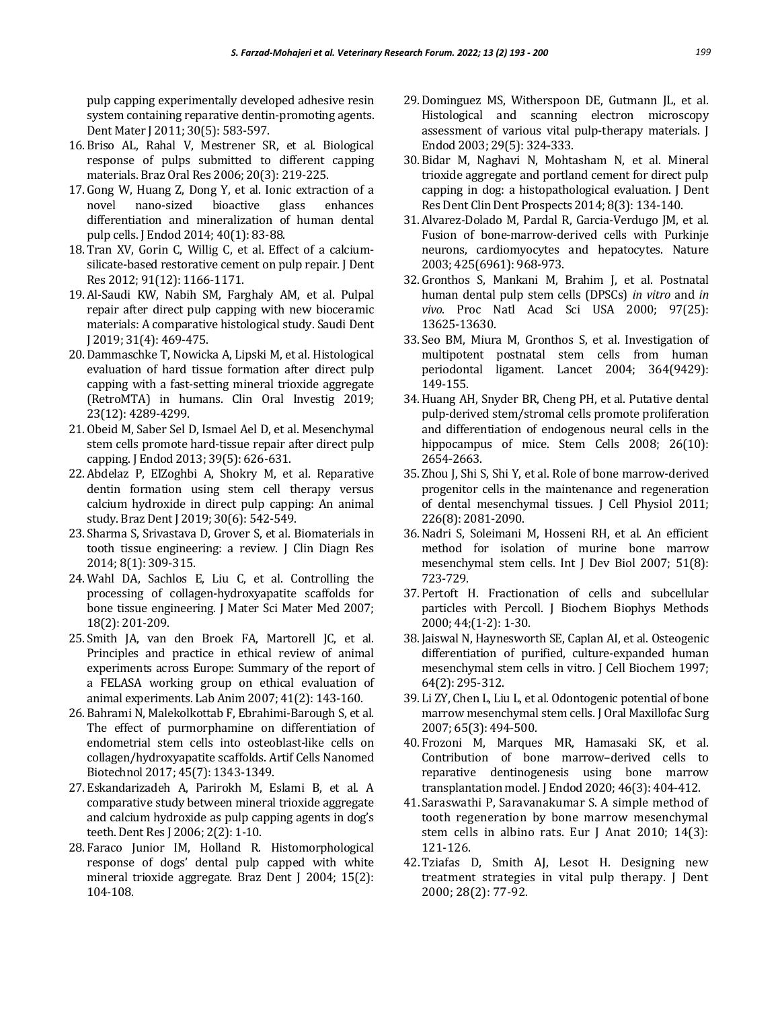pulp capping experimentally developed adhesive resin system containing reparative dentin-promoting agents. Dent Mater J 2011; 30(5): 583-597.

- 16. Briso AL, Rahal V, Mestrener SR, et al. Biological response of pulps submitted to different capping materials. Braz Oral Res 2006; 20(3): 219-225.
- 17. Gong W, Huang Z, Dong Y, et al. Ionic extraction of a novel nano-sized bioactive glass enhances differentiation and mineralization of human dental pulp cells. J Endod 2014; 40(1): 83-88.
- 18. Tran XV, Gorin C, Willig C, et al. Effect of a calciumsilicate-based restorative cement on pulp repair. J Dent Res 2012; 91(12): 1166-1171.
- 19. Al-Saudi KW, Nabih SM, Farghaly AM, et al. Pulpal repair after direct pulp capping with new bioceramic materials: A comparative histological study. Saudi Dent J 2019; 31(4): 469-475.
- 20. Dammaschke T, Nowicka A, Lipski M, et al. Histological evaluation of hard tissue formation after direct pulp capping with a fast-setting mineral trioxide aggregate (RetroMTA) in humans. Clin Oral Investig 2019; 23(12): 4289-4299.
- 21. Obeid M, Saber Sel D, Ismael Ael D, et al. Mesenchymal stem cells promote hard-tissue repair after direct pulp capping. J Endod 2013; 39(5): 626-631.
- 22. Abdelaz P, ElZoghbi A, Shokry M, et al. Reparative dentin formation using stem cell therapy versus calcium hydroxide in direct pulp capping: An animal study. Braz Dent J 2019; 30(6): 542-549.
- 23. Sharma S, Srivastava D, Grover S, et al. Biomaterials in tooth tissue engineering: a review. J Clin Diagn Res 2014; 8(1): 309-315.
- 24. Wahl DA, Sachlos E, Liu C, et al. Controlling the processing of collagen-hydroxyapatite scaffolds for bone tissue engineering. J Mater Sci Mater Med 2007; 18(2): 201-209.
- 25. Smith JA, van den Broek FA, Martorell JC, et al. Principles and practice in ethical review of animal experiments across Europe: Summary of the report of a FELASA working group on ethical evaluation of animal experiments. Lab Anim 2007; 41(2): 143-160.
- 26. Bahrami N, Malekolkottab F, Ebrahimi-Barough S, et al. The effect of purmorphamine on differentiation of endometrial stem cells into osteoblast-like cells on collagen/hydroxyapatite scaffolds. Artif Cells Nanomed Biotechnol 2017; 45(7): 1343-1349.
- 27. Eskandarizadeh A, Parirokh M, Eslami B, et al. A comparative study between mineral trioxide aggregate and calcium hydroxide as pulp capping agents in dog's teeth. Dent Res J 2006; 2(2): 1-10.
- 28. Faraco Junior IM, Holland R. Histomorphological response of dogs' dental pulp capped with white mineral trioxide aggregate. Braz Dent J 2004; 15(2): 104-108.
- 29. Dominguez MS, Witherspoon DE, Gutmann JL, et al. Histological and scanning electron microscopy assessment of various vital pulp-therapy materials. J Endod 2003; 29(5): 324-333.
- 30. Bidar M, Naghavi N, Mohtasham N, et al. Mineral trioxide aggregate and portland cement for direct pulp capping in dog: a histopathological evaluation. J Dent Res Dent Clin Dent Prospects 2014; 8(3): 134-140.
- 31. Alvarez-Dolado M, Pardal R, Garcia-Verdugo JM, et al. Fusion of bone-marrow-derived cells with Purkinje neurons, cardiomyocytes and hepatocytes. Nature 2003; 425(6961): 968-973.
- 32. Gronthos S, Mankani M, Brahim J, et al. Postnatal human dental pulp stem cells (DPSCs) *in vitro* and *in vivo*. Proc Natl Acad Sci USA 2000; 97(25): 13625-13630.
- 33. Seo BM, Miura M, Gronthos S, et al. Investigation of multipotent postnatal stem cells from human periodontal ligament. Lancet 2004; 364(9429): 149-155.
- 34.Huang AH, Snyder BR, Cheng PH, et al. Putative dental pulp-derived stem/stromal cells promote proliferation and differentiation of endogenous neural cells in the hippocampus of mice. Stem Cells 2008; 26(10): 2654-2663.
- 35. Zhou J, Shi S, Shi Y, et al. Role of bone marrow-derived progenitor cells in the maintenance and regeneration of dental mesenchymal tissues. J Cell Physiol 2011; 226(8): 2081-2090.
- 36.Nadri S, Soleimani M, Hosseni RH, et al. An efficient method for isolation of murine bone marrow mesenchymal stem cells. Int J Dev Biol 2007; 51(8): 723-729.
- 37. Pertoft H. Fractionation of cells and subcellular particles with Percoll. J Biochem Biophys Methods 2000; 44;(1-2): 1-30.
- 38. Jaiswal N, Haynesworth SE, Caplan AI, et al. Osteogenic differentiation of purified, culture-expanded human mesenchymal stem cells in vitro. J Cell Biochem 1997; 64(2): 295-312.
- 39. Li ZY, Chen L, Liu L, et al. Odontogenic potential of bone marrow mesenchymal stem cells. J Oral Maxillofac Surg 2007; 65(3): 494-500.
- 40. Frozoni M, Marques MR, Hamasaki SK, et al. Contribution of bone marrow–derived cells to reparative dentinogenesis using bone marrow transplantation model. J Endod 2020; 46(3): 404-412.
- 41. Saraswathi P, Saravanakumar S. A simple method of tooth regeneration by bone marrow mesenchymal stem cells in albino rats. Eur J Anat 2010; 14(3): 121-126.
- 42.Tziafas D, Smith AJ, Lesot H. Designing new treatment strategies in vital pulp therapy. J Dent 2000; 28(2): 77-92.